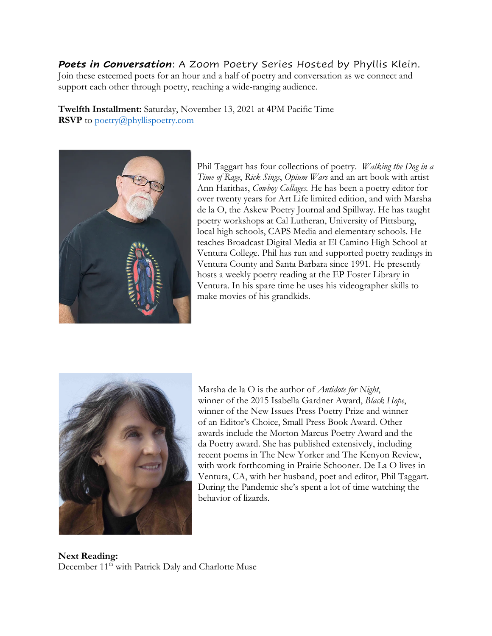## *Poets in Conversation*: A Zoom Poetry Series Hosted by Phyllis Klein.

Join these esteemed poets for an hour and a half of poetry and conversation as we connect and support each other through poetry, reaching a wide-ranging audience.

**Twelfth Installment:** Saturday, November 13, 2021 at **4**PM Pacific Time **RSVP** to poetry@phyllispoetry.com



Phil Taggart has four collections of poetry. *Walking the Dog in a Time of Rage*, *Rick Sings*, *Opium Wars* and an art book with artist Ann Harithas, *Cowboy Collages.* He has been a poetry editor for over twenty years for Art Life limited edition, and with Marsha de la O, the Askew Poetry Journal and Spillway. He has taught poetry workshops at Cal Lutheran, University of Pittsburg, local high schools, CAPS Media and elementary schools. He teaches Broadcast Digital Media at El Camino High School at Ventura College. Phil has run and supported poetry readings in Ventura County and Santa Barbara since 1991. He presently hosts a weekly poetry reading at the EP Foster Library in Ventura. In his spare time he uses his videographer skills to make movies of his grandkids.



Marsha de la O is the author of *Antidote for Night*, winner of the 2015 Isabella Gardner Award, *Black Hope*, winner of the New Issues Press Poetry Prize and winner of an Editor's Choice, Small Press Book Award. Other awards include the Morton Marcus Poetry Award and the da Poetry award. She has published extensively, including recent poems in The New Yorker and The Kenyon Review, with work forthcoming in Prairie Schooner. De La O lives in Ventura, CA, with her husband, poet and editor, Phil Taggart. During the Pandemic she's spent a lot of time watching the behavior of lizards.

**Next Reading:** December 11<sup>th</sup> with Patrick Daly and Charlotte Muse